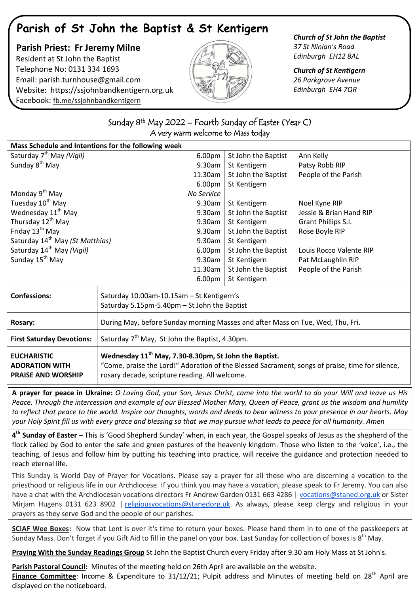# **Parish of St John the Baptist & St Kentigern**

## **Parish Priest: Fr Jeremy Milne** Resident at St John the Baptist Telephone No: 0131 334 1693 Email: [parish.turnhouse@gmail.com](mailto:parish.turnhouse@gmail.com)  Website: [https://ssjohnbandkentigern.org.uk](https://ssjohnbandkentigern.org.uk/) Facebook: [fb.me/ssjohnbandkentigern](https://fb.me/ssjohnbandkentigern)



#### *Church of St John the Baptist 37 St Ninian's Road Edinburgh EH12 8AL*

*Church of St Kentigern 26 Parkgrove Avenue Edinburgh EH4 7QR*

| Sunday 8 <sup>th</sup> May 2022 – Fourth Sunday of Easter (Year C) |
|--------------------------------------------------------------------|
| A very warm welcome to Mass today                                  |

| Mass Schedule and Intentions for the following week                      |                                                                                                                                                                                                                        |            |                     |                         |  |
|--------------------------------------------------------------------------|------------------------------------------------------------------------------------------------------------------------------------------------------------------------------------------------------------------------|------------|---------------------|-------------------------|--|
| Saturday 7 <sup>th</sup> May (Vigil)                                     |                                                                                                                                                                                                                        | 6.00pm     | St John the Baptist | Ann Kelly               |  |
| Sunday 8 <sup>th</sup> May                                               |                                                                                                                                                                                                                        | 9.30am     | St Kentigern        | Patsy Robb RIP          |  |
|                                                                          |                                                                                                                                                                                                                        | 11.30am    | St John the Baptist | People of the Parish    |  |
|                                                                          |                                                                                                                                                                                                                        | 6.00pm     | St Kentigern        |                         |  |
| Monday 9 <sup>th</sup> May                                               |                                                                                                                                                                                                                        | No Service |                     |                         |  |
| Tuesday 10 <sup>th</sup> May                                             |                                                                                                                                                                                                                        | 9.30am     | St Kentigern        | Noel Kyne RIP           |  |
| Wednesday 11 <sup>th</sup> May                                           |                                                                                                                                                                                                                        | 9.30am     | St John the Baptist | Jessie & Brian Hand RIP |  |
| Thursday 12 <sup>th</sup> May                                            |                                                                                                                                                                                                                        | 9.30am     | St Kentigern        | Grant Phillips S.I.     |  |
| Friday 13 <sup>th</sup> May                                              |                                                                                                                                                                                                                        | 9.30am     | St John the Baptist | Rose Boyle RIP          |  |
| Saturday 14 <sup>th</sup> May (St Matthias)                              |                                                                                                                                                                                                                        | 9.30am     | St Kentigern        |                         |  |
| Saturday 14 <sup>th</sup> May (Vigil)                                    |                                                                                                                                                                                                                        | 6.00pm     | St John the Baptist | Louis Rocco Valente RIP |  |
| Sunday 15 <sup>th</sup> May                                              |                                                                                                                                                                                                                        | 9.30am     | St Kentigern        | Pat McLaughlin RIP      |  |
|                                                                          |                                                                                                                                                                                                                        | 11.30am    | St John the Baptist | People of the Parish    |  |
|                                                                          |                                                                                                                                                                                                                        | 6.00pm     | St Kentigern        |                         |  |
| <b>Confessions:</b>                                                      | Saturday 10.00am-10.15am - St Kentigern's                                                                                                                                                                              |            |                     |                         |  |
|                                                                          | Saturday 5.15pm-5.40pm - St John the Baptist                                                                                                                                                                           |            |                     |                         |  |
| Rosary:                                                                  | During May, before Sunday morning Masses and after Mass on Tue, Wed, Thu, Fri.                                                                                                                                         |            |                     |                         |  |
| <b>First Saturday Devotions:</b>                                         | Saturday 7 <sup>th</sup> May, St John the Baptist, 4.30pm.                                                                                                                                                             |            |                     |                         |  |
| <b>EUCHARISTIC</b><br><b>ADORATION WITH</b><br><b>PRAISE AND WORSHIP</b> | Wednesday 11 <sup>th</sup> May, 7.30-8.30pm, St John the Baptist.<br>"Come, praise the Lord!" Adoration of the Blessed Sacrament, songs of praise, time for silence,<br>rosary decade, scripture reading. All welcome. |            |                     |                         |  |

**A prayer for peace in Ukraine:** *O Loving God, your Son, Jesus Christ, came into the world to do your Will and leave us His Peace. Through the intercession and example of our Blessed Mother Mary, Queen of Peace, grant us the wisdom and humility to reflect that peace to the world. Inspire our thoughts, words and deeds to bear witness to your presence in our hearts. May your Holy Spirit fill us with every grace and blessing so that we may pursue what leads to peace for all humanity. Amen*

**4 th Sunday of Easter** – This is 'Good Shepherd Sunday' when, in each year, the Gospel speaks of Jesus as the shepherd of the flock called by God to enter the safe and green pastures of the heavenly kingdom. Those who listen to the 'voice', i.e., the teaching, of Jesus and follow him by putting his teaching into practice, will receive the guidance and protection needed to reach eternal life.

This Sunday is World Day of Prayer for Vocations. Please say a prayer for all those who are discerning a vocation to the priesthood or religious life in our Archdiocese. If you think you may have a vocation, please speak to Fr Jeremy. You can also have a chat with the Archdiocesan vocations directors Fr Andrew Garden 0131 663 4286 | [vocations@staned.org.uk](https://mailto:vocations@staned.org.uk/) or Sister Mirjam Hugens 0131 623 8902 | [religiousvocations@stanedorg.uk.](https://mailto:religiousvocations@stanedorg.uk/) As always, please keep clergy and religious in your prayers as they serve God and the people of our parishes.

**SCIAF Wee Boxes:** Now that Lent is over it's time to return your boxes. Please hand them in to one of the passkeepers at Sunday Mass. Don't forget if you Gift Aid to fill in the panel on your box. Last Sunday for collection of boxes is  $8<sup>th</sup>$  May.

**Praying With the Sunday Readings Group** St John the Baptist Church every Friday after 9.30 am Holy Mass at St John's.

Parish Pastoral Council: Minutes of the meeting held on 26th April are available on the website.

Finance Committee: Income & Expenditure to 31/12/21; Pulpit address and Minutes of meeting held on 28<sup>th</sup> April are displayed on the noticeboard.